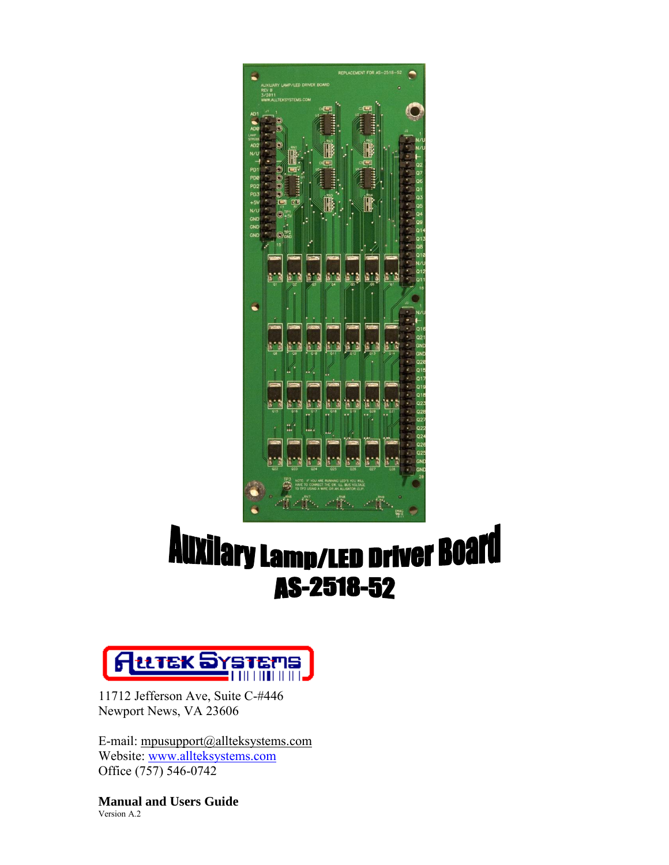

## **Auxilary Lamp/LED Driver Board** AS-2518-52



11712 Jefferson Ave, Suite C-#446 Newport News, VA 23606

E-mail: mp[usupport@allteksystems.com](mailto:support@allteksystems.com) Website: [www.allteksystems.com](http://www.allteksystems.com/) Office (757) 546-0742

**Manual and Users Guide**  Version A.2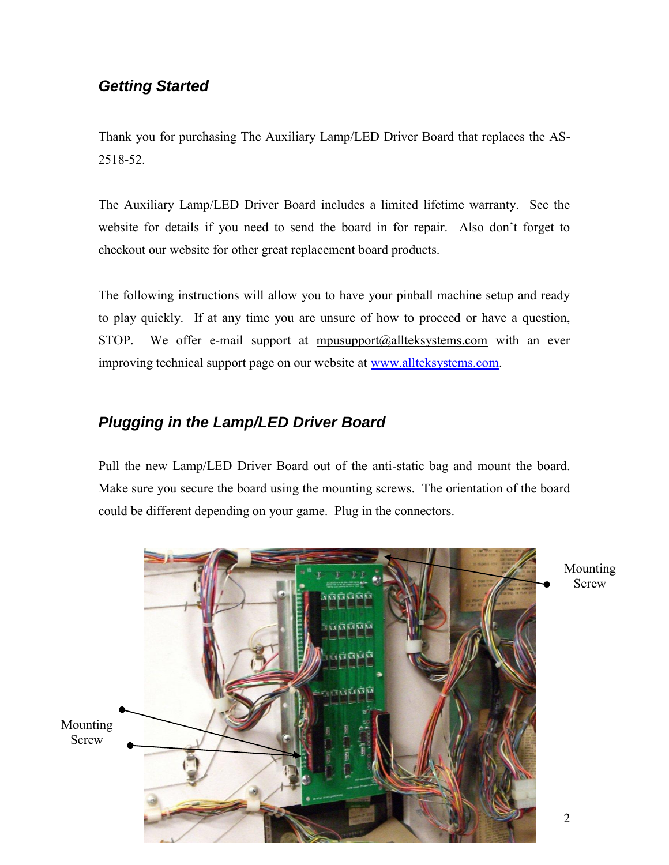## *Getting Started*

Thank you for purchasing The Auxiliary Lamp/LED Driver Board that replaces the AS-2518-52.

The Auxiliary Lamp/LED Driver Board includes a limited lifetime warranty. See the website for details if you need to send the board in for repair. Also don't forget to checkout our website for other great replacement board products.

The following instructions will allow you to have your pinball machine setup and ready to play quickly. If at any time you are unsure of how to proceed or have a question, STOP. We offer e-mail support at  $m$  m  $a$  allteksystems.com with an ever improving technical support page on our website at [www.allteksystems.com.](http://www.allteksystems.com/)

## *Plugging in the Lamp/LED Driver Board*

Pull the new Lamp/LED Driver Board out of the anti-static bag and mount the board. Make sure you secure the board using the mounting screws. The orientation of the board could be different depending on your game. Plug in the connectors.



Mounting Screw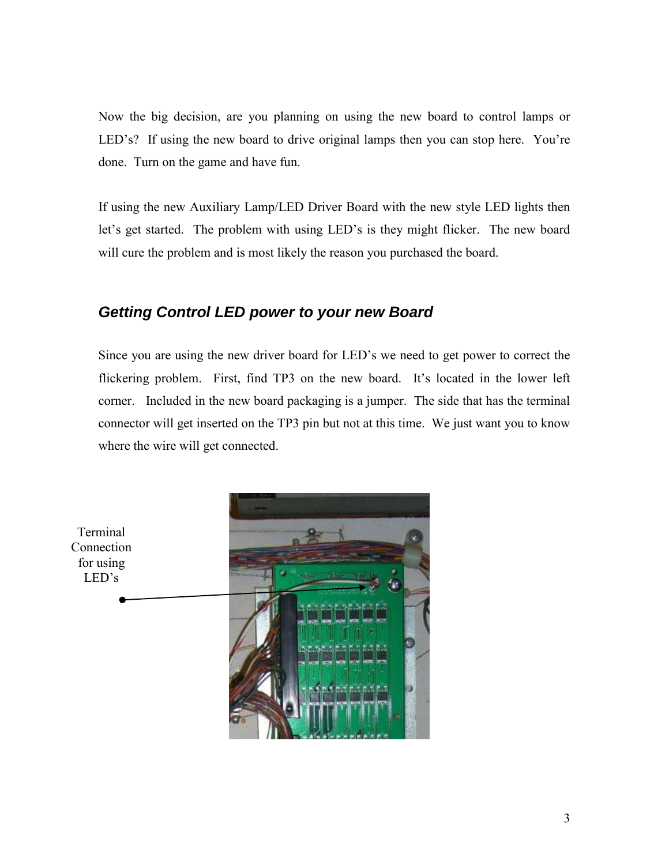Now the big decision, are you planning on using the new board to control lamps or LED's? If using the new board to drive original lamps then you can stop here. You're done. Turn on the game and have fun.

If using the new Auxiliary Lamp/LED Driver Board with the new style LED lights then let's get started. The problem with using LED's is they might flicker. The new board will cure the problem and is most likely the reason you purchased the board.

## *Getting Control LED power to your new Board*

Since you are using the new driver board for LED's we need to get power to correct the flickering problem. First, find TP3 on the new board. It's located in the lower left corner. Included in the new board packaging is a jumper. The side that has the terminal connector will get inserted on the TP3 pin but not at this time. We just want you to know where the wire will get connected.